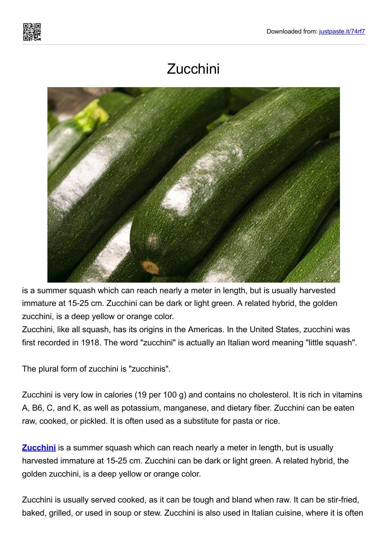## Zucchini



is a summer squash which can reach nearly a meter in length, but is usually harvested immature at 15-25 cm. Zucchini can be dark or light green. A related hybrid, the golden zucchini, is a deep yellow or orange color.

Zucchini, like all squash, has its origins in the Americas. In the United States, zucchini was first recorded in 1918. The word "zucchini" is actually an Italian word meaning "little squash".

The plural form of zucchini is "zucchinis".

Zucchini is very low in calories (19 per 100 g) and contains no cholesterol. It is rich in vitamins A, B6, C, and K, as well as potassium, manganese, and dietary fiber. Zucchini can be eaten raw, cooked, or pickled. It is often used as a substitute for pasta or rice.

**[Zucchini](https://justpaste.it/redirect/74rf7/https://husfarm.com/product/zucchini)** is a summer squash which can reach nearly a meter in length, but is usually harvested immature at 15-25 cm. Zucchini can be dark or light green. A related hybrid, the golden zucchini, is a deep yellow or orange color.

Zucchini is usually served cooked, as it can be tough and bland when raw. It can be stir-fried, baked, grilled, or used in soup or stew. Zucchini is also used in Italian cuisine, where it is often